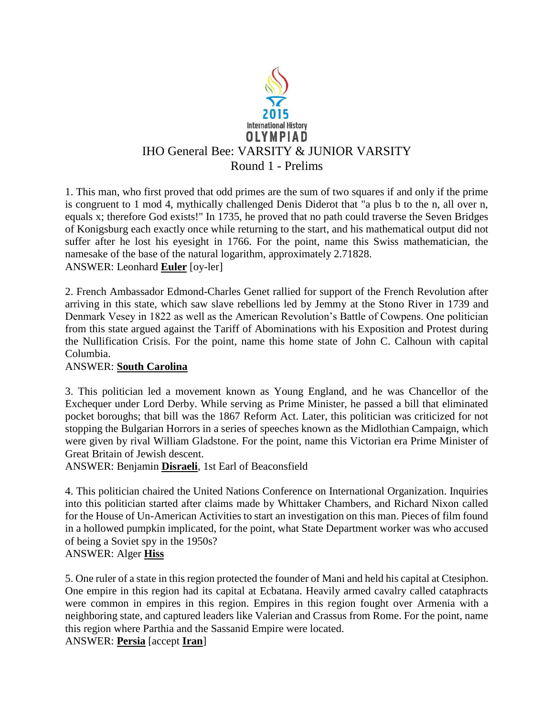

1. This man, who first proved that odd primes are the sum of two squares if and only if the prime is congruent to 1 mod 4, mythically challenged Denis Diderot that "a plus b to the n, all over n, equals x; therefore God exists!" In 1735, he proved that no path could traverse the Seven Bridges of Konigsburg each exactly once while returning to the start, and his mathematical output did not suffer after he lost his eyesight in 1766. For the point, name this Swiss mathematician, the namesake of the base of the natural logarithm, approximately 2.71828. ANSWER: Leonhard **Euler** [oy-ler]

2. French Ambassador Edmond-Charles Genet rallied for support of the French Revolution after arriving in this state, which saw slave rebellions led by Jemmy at the Stono River in 1739 and Denmark Vesey in 1822 as well as the American Revolution's Battle of Cowpens. One politician from this state argued against the Tariff of Abominations with his Exposition and Protest during the Nullification Crisis. For the point, name this home state of John C. Calhoun with capital Columbia.

### ANSWER: **South Carolina**

3. This politician led a movement known as Young England, and he was Chancellor of the Exchequer under Lord Derby. While serving as Prime Minister, he passed a bill that eliminated pocket boroughs; that bill was the 1867 Reform Act. Later, this politician was criticized for not stopping the Bulgarian Horrors in a series of speeches known as the Midlothian Campaign, which were given by rival William Gladstone. For the point, name this Victorian era Prime Minister of Great Britain of Jewish descent.

ANSWER: Benjamin **Disraeli**, 1st Earl of Beaconsfield

4. This politician chaired the United Nations Conference on International Organization. Inquiries into this politician started after claims made by Whittaker Chambers, and Richard Nixon called for the House of Un-American Activities to start an investigation on this man. Pieces of film found in a hollowed pumpkin implicated, for the point, what State Department worker was who accused of being a Soviet spy in the 1950s? ANSWER: Alger **Hiss**

5. One ruler of a state in this region protected the founder of Mani and held his capital at Ctesiphon. One empire in this region had its capital at Ecbatana. Heavily armed cavalry called cataphracts were common in empires in this region. Empires in this region fought over Armenia with a neighboring state, and captured leaders like Valerian and Crassus from Rome. For the point, name this region where Parthia and the Sassanid Empire were located.

ANSWER: **Persia** [accept **Iran**]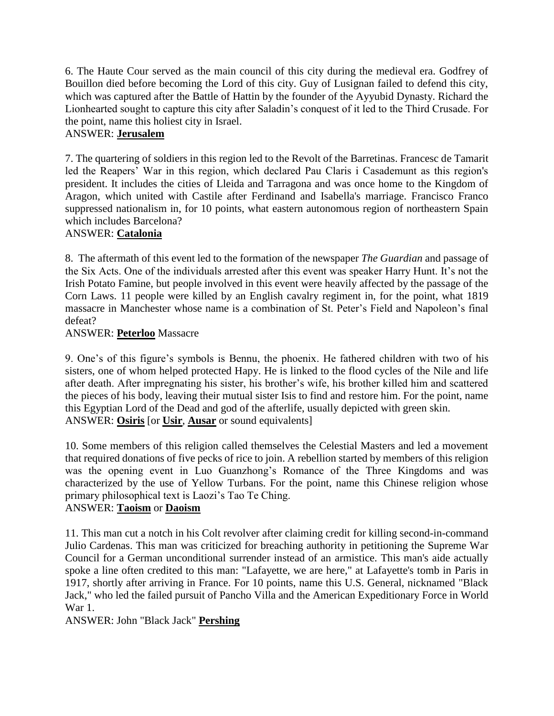6. The Haute Cour served as the main council of this city during the medieval era. Godfrey of Bouillon died before becoming the Lord of this city. Guy of Lusignan failed to defend this city, which was captured after the Battle of Hattin by the founder of the Ayyubid Dynasty. Richard the Lionhearted sought to capture this city after Saladin's conquest of it led to the Third Crusade. For the point, name this holiest city in Israel.

## ANSWER: **Jerusalem**

7. The quartering of soldiers in this region led to the Revolt of the Barretinas. Francesc de Tamarit led the Reapers' War in this region, which declared Pau Claris i Casademunt as this region's president. It includes the cities of Lleida and Tarragona and was once home to the Kingdom of Aragon, which united with Castile after Ferdinand and Isabella's marriage. Francisco Franco suppressed nationalism in, for 10 points, what eastern autonomous region of northeastern Spain which includes Barcelona?

## ANSWER: **Catalonia**

8. The aftermath of this event led to the formation of the newspaper *The Guardian* and passage of the Six Acts. One of the individuals arrested after this event was speaker Harry Hunt. It's not the Irish Potato Famine, but people involved in this event were heavily affected by the passage of the Corn Laws. 11 people were killed by an English cavalry regiment in, for the point, what 1819 massacre in Manchester whose name is a combination of St. Peter's Field and Napoleon's final defeat?

### ANSWER: **Peterloo** Massacre

9. One's of this figure's symbols is Bennu, the phoenix. He fathered children with two of his sisters, one of whom helped protected Hapy. He is linked to the flood cycles of the Nile and life after death. After impregnating his sister, his brother's wife, his brother killed him and scattered the pieces of his body, leaving their mutual sister Isis to find and restore him. For the point, name this Egyptian Lord of the Dead and god of the afterlife, usually depicted with green skin. ANSWER: **Osiris** [or **Usir**, **Ausar** or sound equivalents]

10. Some members of this religion called themselves the Celestial Masters and led a movement that required donations of five pecks of rice to join. A rebellion started by members of this religion was the opening event in Luo Guanzhong's Romance of the Three Kingdoms and was characterized by the use of Yellow Turbans. For the point, name this Chinese religion whose primary philosophical text is Laozi's Tao Te Ching. ANSWER: **Taoism** or **Daoism**

### 11. This man cut a notch in his Colt revolver after claiming credit for killing second-in-command Julio Cardenas. This man was criticized for breaching authority in petitioning the Supreme War Council for a German unconditional surrender instead of an armistice. This man's aide actually spoke a line often credited to this man: "Lafayette, we are here," at Lafayette's tomb in Paris in 1917, shortly after arriving in France. For 10 points, name this U.S. General, nicknamed "Black Jack," who led the failed pursuit of Pancho Villa and the American Expeditionary Force in World War 1.

ANSWER: John "Black Jack" **Pershing**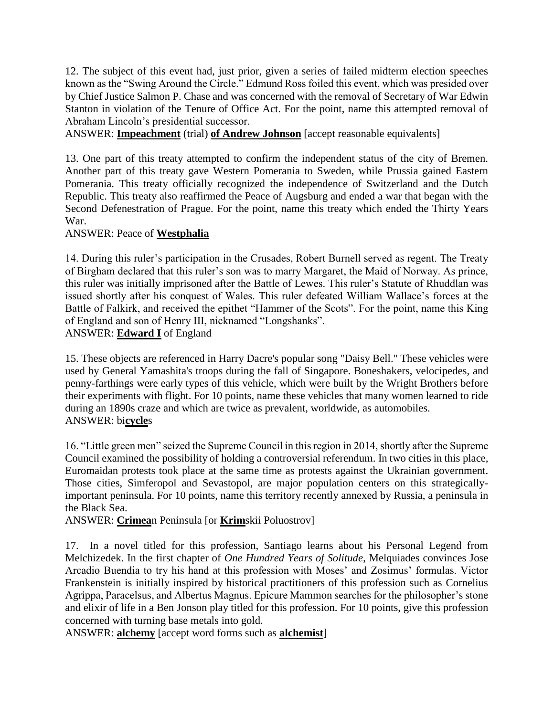12. The subject of this event had, just prior, given a series of failed midterm election speeches known as the "Swing Around the Circle." Edmund Ross foiled this event, which was presided over by Chief Justice Salmon P. Chase and was concerned with the removal of Secretary of War Edwin Stanton in violation of the Tenure of Office Act. For the point, name this attempted removal of Abraham Lincoln's presidential successor.

ANSWER: **Impeachment** (trial) **of Andrew Johnson** [accept reasonable equivalents]

13. One part of this treaty attempted to confirm the independent status of the city of Bremen. Another part of this treaty gave Western Pomerania to Sweden, while Prussia gained Eastern Pomerania. This treaty officially recognized the independence of Switzerland and the Dutch Republic. This treaty also reaffirmed the Peace of Augsburg and ended a war that began with the Second Defenestration of Prague. For the point, name this treaty which ended the Thirty Years War.

#### ANSWER: Peace of **Westphalia**

14. During this ruler's participation in the Crusades, Robert Burnell served as regent. The Treaty of Birgham declared that this ruler's son was to marry Margaret, the Maid of Norway. As prince, this ruler was initially imprisoned after the Battle of Lewes. This ruler's Statute of Rhuddlan was issued shortly after his conquest of Wales. This ruler defeated William Wallace's forces at the Battle of Falkirk, and received the epithet "Hammer of the Scots". For the point, name this King of England and son of Henry III, nicknamed "Longshanks".

#### ANSWER: **Edward I** of England

15. These objects are referenced in Harry Dacre's popular song "Daisy Bell." These vehicles were used by General Yamashita's troops during the fall of Singapore. Boneshakers, velocipedes, and penny-farthings were early types of this vehicle, which were built by the Wright Brothers before their experiments with flight. For 10 points, name these vehicles that many women learned to ride during an 1890s craze and which are twice as prevalent, worldwide, as automobiles. ANSWER: bi**cycle**s

16. "Little green men" seized the Supreme Council in this region in 2014, shortly after the Supreme Council examined the possibility of holding a controversial referendum. In two cities in this place, Euromaidan protests took place at the same time as protests against the Ukrainian government. Those cities, Simferopol and Sevastopol, are major population centers on this strategicallyimportant peninsula. For 10 points, name this territory recently annexed by Russia, a peninsula in the Black Sea.

ANSWER: **Crimea**n Peninsula [or **Krim**skii Poluostrov]

17. In a novel titled for this profession, Santiago learns about his Personal Legend from Melchizedek. In the first chapter of *One Hundred Years of Solitude*, Melquiades convinces Jose Arcadio Buendia to try his hand at this profession with Moses' and Zosimus' formulas. Victor Frankenstein is initially inspired by historical practitioners of this profession such as Cornelius Agrippa, Paracelsus, and Albertus Magnus. Epicure Mammon searches for the philosopher's stone and elixir of life in a Ben Jonson play titled for this profession. For 10 points, give this profession concerned with turning base metals into gold.

ANSWER: **alchemy** [accept word forms such as **alchemist**]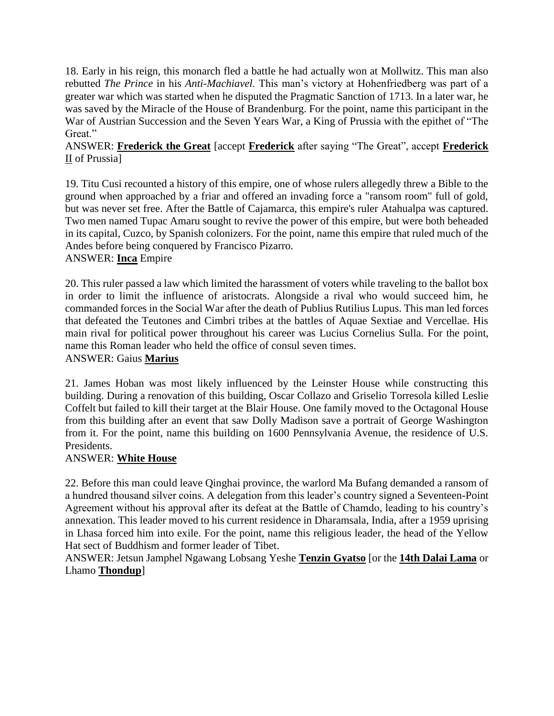18. Early in his reign, this monarch fled a battle he had actually won at Mollwitz. This man also rebutted *The Prince* in his *Anti-Machiavel*. This man's victory at Hohenfriedberg was part of a greater war which was started when he disputed the Pragmatic Sanction of 1713. In a later war, he was saved by the Miracle of the House of Brandenburg. For the point, name this participant in the War of Austrian Succession and the Seven Years War, a King of Prussia with the epithet of "The Great."

## ANSWER: **Frederick the Great** [accept **Frederick** after saying "The Great", accept **Frederick** II of Prussia]

19. Titu Cusi recounted a history of this empire, one of whose rulers allegedly threw a Bible to the ground when approached by a friar and offered an invading force a "ransom room" full of gold, but was never set free. After the Battle of Cajamarca, this empire's ruler Atahualpa was captured. Two men named Tupac Amaru sought to revive the power of this empire, but were both beheaded in its capital, Cuzco, by Spanish colonizers. For the point, name this empire that ruled much of the Andes before being conquered by Francisco Pizarro.

### ANSWER: **Inca** Empire

20. This ruler passed a law which limited the harassment of voters while traveling to the ballot box in order to limit the influence of aristocrats. Alongside a rival who would succeed him, he commanded forces in the Social War after the death of Publius Rutilius Lupus. This man led forces that defeated the Teutones and Cimbri tribes at the battles of Aquae Sextiae and Vercellae. His main rival for political power throughout his career was Lucius Cornelius Sulla. For the point, name this Roman leader who held the office of consul seven times. ANSWER: Gaius **Marius**

21. James Hoban was most likely influenced by the Leinster House while constructing this building. During a renovation of this building, Oscar Collazo and Griselio Torresola killed Leslie Coffelt but failed to kill their target at the Blair House. One family moved to the Octagonal House from this building after an event that saw Dolly Madison save a portrait of George Washington from it. For the point, name this building on 1600 Pennsylvania Avenue, the residence of U.S. Presidents.

#### ANSWER: **White House**

22. Before this man could leave Qinghai province, the warlord Ma Bufang demanded a ransom of a hundred thousand silver coins. A delegation from this leader's country signed a Seventeen-Point Agreement without his approval after its defeat at the Battle of Chamdo, leading to his country's annexation. This leader moved to his current residence in Dharamsala, India, after a 1959 uprising in Lhasa forced him into exile. For the point, name this religious leader, the head of the Yellow Hat sect of Buddhism and former leader of Tibet.

ANSWER: Jetsun Jamphel Ngawang Lobsang Yeshe **Tenzin Gyatso** [or the **14th Dalai Lama** or Lhamo **Thondup**]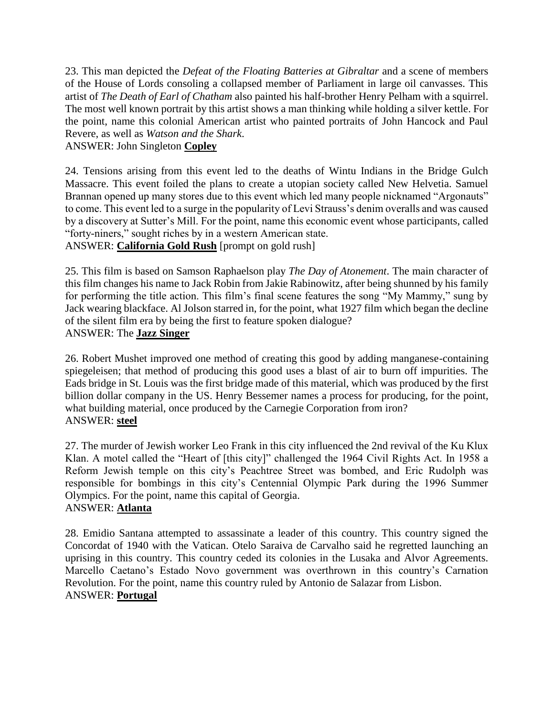23. This man depicted the *Defeat of the Floating Batteries at Gibraltar* and a scene of members of the House of Lords consoling a collapsed member of Parliament in large oil canvasses. This artist of *The Death of Earl of Chatham* also painted his half-brother Henry Pelham with a squirrel. The most well known portrait by this artist shows a man thinking while holding a silver kettle. For the point, name this colonial American artist who painted portraits of John Hancock and Paul Revere, as well as *Watson and the Shark*.

### ANSWER: John Singleton **Copley**

24. Tensions arising from this event led to the deaths of Wintu Indians in the Bridge Gulch Massacre. This event foiled the plans to create a utopian society called New Helvetia. Samuel Brannan opened up many stores due to this event which led many people nicknamed "Argonauts" to come. This event led to a surge in the popularity of Levi Strauss's denim overalls and was caused by a discovery at Sutter's Mill. For the point, name this economic event whose participants, called "forty-niners," sought riches by in a western American state.

ANSWER: **California Gold Rush** [prompt on gold rush]

25. This film is based on Samson Raphaelson play *The Day of Atonement*. The main character of this film changes his name to Jack Robin from Jakie Rabinowitz, after being shunned by his family for performing the title action. This film's final scene features the song "My Mammy," sung by Jack wearing blackface. Al Jolson starred in, for the point, what 1927 film which began the decline of the silent film era by being the first to feature spoken dialogue? ANSWER: The **Jazz Singer**

26. Robert Mushet improved one method of creating this good by adding manganese-containing spiegeleisen; that method of producing this good uses a blast of air to burn off impurities. The Eads bridge in St. Louis was the first bridge made of this material, which was produced by the first billion dollar company in the US. Henry Bessemer names a process for producing, for the point, what building material, once produced by the Carnegie Corporation from iron? ANSWER: **steel**

27. The murder of Jewish worker Leo Frank in this city influenced the 2nd revival of the Ku Klux Klan. A motel called the "Heart of [this city]" challenged the 1964 Civil Rights Act. In 1958 a Reform Jewish temple on this city's Peachtree Street was bombed, and Eric Rudolph was responsible for bombings in this city's Centennial Olympic Park during the 1996 Summer Olympics. For the point, name this capital of Georgia. ANSWER: **Atlanta**

28. Emidio Santana attempted to assassinate a leader of this country. This country signed the Concordat of 1940 with the Vatican. Otelo Saraiva de Carvalho said he regretted launching an uprising in this country. This country ceded its colonies in the Lusaka and Alvor Agreements. Marcello Caetano's Estado Novo government was overthrown in this country's Carnation Revolution. For the point, name this country ruled by Antonio de Salazar from Lisbon. ANSWER: **Portugal**